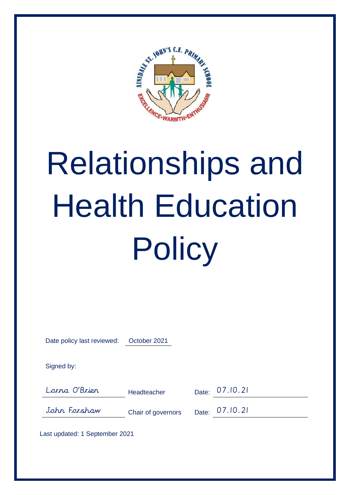

# Relationships and Health Education **Policy**

| Date policy last reviewed: | October 2021 |  |
|----------------------------|--------------|--|
|                            |              |  |

Signed by:

Lorna O'Brien Headteacher Date: 07.10.21

John Forshaw Chair of governors Date: 07.10.21

Last updated: 1 September 2021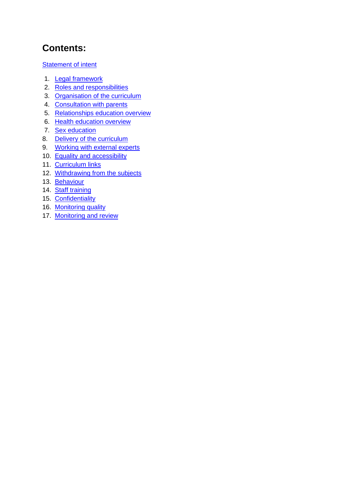# **Contents:**

**Statement of intent** 

- 1. **Legal framework**
- 2. Roles and responsibilities
- 3. Organisation of the curriculum
- 4. Consultation with parents
- 5. Relationships education overview
- 6. Health education overview
- 7. Sex education
- 8. Delivery of the curriculum
- 9. Working with external experts
- 10. Equality and accessibility
- 11. Curriculum links
- 12. Withdrawing from the subjects
- 13. Behaviour
- 14. Staff training
- 15. Confidentiality
- 16. Monitoring quality
- 17. Monitoring and review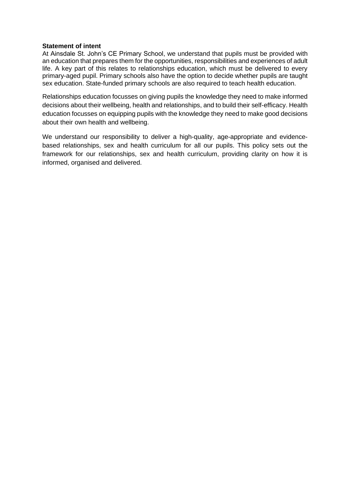### **Statement of intent**

At Ainsdale St. John's CE Primary School, we understand that pupils must be provided with an education that prepares them for the opportunities, responsibilities and experiences of adult life. A key part of this relates to relationships education, which must be delivered to every primary-aged pupil. Primary schools also have the option to decide whether pupils are taught sex education. State-funded primary schools are also required to teach health education.

Relationships education focusses on giving pupils the knowledge they need to make informed decisions about their wellbeing, health and relationships, and to build their self-efficacy. Health education focusses on equipping pupils with the knowledge they need to make good decisions about their own health and wellbeing.

We understand our responsibility to deliver a high-quality, age-appropriate and evidencebased relationships, sex and health curriculum for all our pupils. This policy sets out the framework for our relationships, sex and health curriculum, providing clarity on how it is informed, organised and delivered.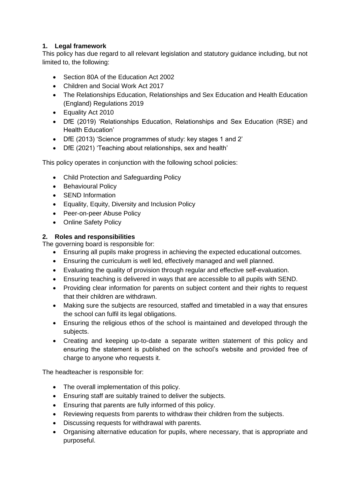# **1. Legal framework**

This policy has due regard to all relevant legislation and statutory guidance including, but not limited to, the following:

- Section 80A of the Education Act 2002
- Children and Social Work Act 2017
- The Relationships Education, Relationships and Sex Education and Health Education (England) Regulations 2019
- Equality Act 2010
- DfE (2019) 'Relationships Education, Relationships and Sex Education (RSE) and Health Education'
- DfE (2013) 'Science programmes of study: key stages 1 and 2'
- DfE (2021) 'Teaching about relationships, sex and health'

This policy operates in conjunction with the following school policies:

- Child Protection and Safeguarding Policy
- Behavioural Policy
- SEND Information
- Equality, Equity, Diversity and Inclusion Policy
- Peer-on-peer Abuse Policy
- Online Safety Policy

# **2. Roles and responsibilities**

The governing board is responsible for:

- Ensuring all pupils make progress in achieving the expected educational outcomes.
- Ensuring the curriculum is well led, effectively managed and well planned.
- Evaluating the quality of provision through regular and effective self-evaluation.
- Ensuring teaching is delivered in ways that are accessible to all pupils with SEND.
- Providing clear information for parents on subject content and their rights to request that their children are withdrawn.
- Making sure the subjects are resourced, staffed and timetabled in a way that ensures the school can fulfil its legal obligations.
- Ensuring the religious ethos of the school is maintained and developed through the subjects.
- Creating and keeping up-to-date a separate written statement of this policy and ensuring the statement is published on the school's website and provided free of charge to anyone who requests it.

The headteacher is responsible for:

- The overall implementation of this policy.
- Ensuring staff are suitably trained to deliver the subjects.
- Ensuring that parents are fully informed of this policy.
- Reviewing requests from parents to withdraw their children from the subjects.
- Discussing requests for withdrawal with parents.
- Organising alternative education for pupils, where necessary, that is appropriate and purposeful.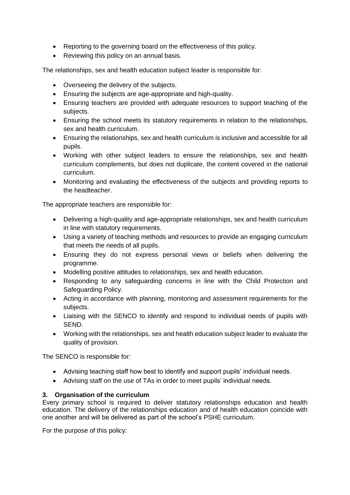- Reporting to the governing board on the effectiveness of this policy.
- Reviewing this policy on an annual basis.

The relationships, sex and health education subject leader is responsible for:

- Overseeing the delivery of the subjects.
- Ensuring the subjects are age-appropriate and high-quality.
- Ensuring teachers are provided with adequate resources to support teaching of the subjects.
- Ensuring the school meets its statutory requirements in relation to the relationships, sex and health curriculum.
- Ensuring the relationships, sex and health curriculum is inclusive and accessible for all pupils.
- Working with other subject leaders to ensure the relationships, sex and health curriculum complements, but does not duplicate, the content covered in the national curriculum.
- Monitoring and evaluating the effectiveness of the subjects and providing reports to the headteacher.

The appropriate teachers are responsible for:

- Delivering a high-quality and age-appropriate relationships, sex and health curriculum in line with statutory requirements.
- Using a variety of teaching methods and resources to provide an engaging curriculum that meets the needs of all pupils.
- Ensuring they do not express personal views or beliefs when delivering the programme.
- Modelling positive attitudes to relationships, sex and health education.
- Responding to any safeguarding concerns in line with the Child Protection and Safeguarding Policy.
- Acting in accordance with planning, monitoring and assessment requirements for the subjects.
- Liaising with the SENCO to identify and respond to individual needs of pupils with SEND.
- Working with the relationships, sex and health education subject leader to evaluate the quality of provision.

The SENCO is responsible for:

- Advising teaching staff how best to identify and support pupils' individual needs.
- Advising staff on the use of TAs in order to meet pupils' individual needs.

# **3. Organisation of the curriculum**

Every primary school is required to deliver statutory relationships education and health education. The delivery of the relationships education and of health education coincide with one another and will be delivered as part of the school's PSHE curriculum.

For the purpose of this policy: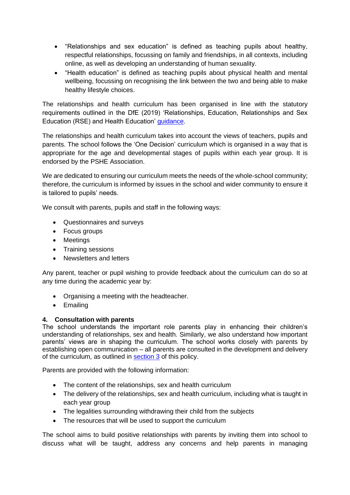- "Relationships and sex education" is defined as teaching pupils about healthy, respectful relationships, focussing on family and friendships, in all contexts, including online, as well as developing an understanding of human sexuality.
- "Health education" is defined as teaching pupils about physical health and mental wellbeing, focussing on recognising the link between the two and being able to make healthy lifestyle choices.

The relationships and health curriculum has been organised in line with the statutory requirements outlined in the DfE (2019) 'Relationships, Education, Relationships and Sex Education (RSE) and Health Education' [guidance.](https://www.gov.uk/government/publications/relationships-education-relationships-and-sex-education-rse-and-health-education)

The relationships and health curriculum takes into account the views of teachers, pupils and parents. The school follows the 'One Decision' curriculum which is organised in a way that is appropriate for the age and developmental stages of pupils within each year group. It is endorsed by the PSHE Association.

We are dedicated to ensuring our curriculum meets the needs of the whole-school community; therefore, the curriculum is informed by issues in the school and wider community to ensure it is tailored to pupils' needs.

We consult with parents, pupils and staff in the following ways:

- Questionnaires and surveys
- Focus groups
- Meetings
- Training sessions
- Newsletters and letters

Any parent, teacher or pupil wishing to provide feedback about the curriculum can do so at any time during the academic year by:

- Organising a meeting with the headteacher.
- Emailing

# **4. Consultation with parents**

The school understands the important role parents play in enhancing their children's understanding of relationships, sex and health. Similarly, we also understand how important parents' views are in shaping the curriculum. The school works closely with parents by establishing open communication – all parents are consulted in the development and delivery of the curriculum, as outlined in section 3 of this policy.

Parents are provided with the following information:

- The content of the relationships, sex and health curriculum
- The delivery of the relationships, sex and health curriculum, including what is taught in each year group
- The legalities surrounding withdrawing their child from the subjects
- The resources that will be used to support the curriculum

The school aims to build positive relationships with parents by inviting them into school to discuss what will be taught, address any concerns and help parents in managing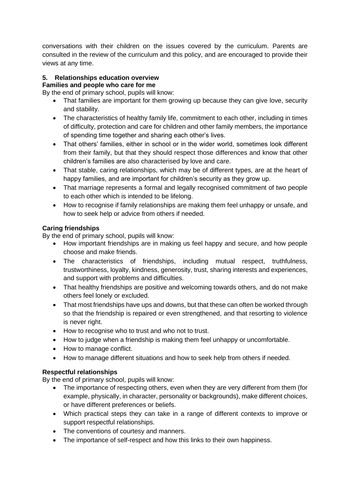conversations with their children on the issues covered by the curriculum. Parents are consulted in the review of the curriculum and this policy, and are encouraged to provide their views at any time.

# **5. Relationships education overview**

# **Families and people who care for me**

By the end of primary school, pupils will know:

- That families are important for them growing up because they can give love, security and stability.
- The characteristics of healthy family life, commitment to each other, including in times of difficulty, protection and care for children and other family members, the importance of spending time together and sharing each other's lives.
- That others' families, either in school or in the wider world, sometimes look different from their family, but that they should respect those differences and know that other children's families are also characterised by love and care.
- That stable, caring relationships, which may be of different types, are at the heart of happy families, and are important for children's security as they grow up.
- That marriage represents a formal and legally recognised commitment of two people to each other which is intended to be lifelong.
- How to recognise if family relationships are making them feel unhappy or unsafe, and how to seek help or advice from others if needed.

# **Caring friendships**

By the end of primary school, pupils will know:

- How important friendships are in making us feel happy and secure, and how people choose and make friends.
- The characteristics of friendships, including mutual respect, truthfulness, trustworthiness, loyalty, kindness, generosity, trust, sharing interests and experiences, and support with problems and difficulties.
- That healthy friendships are positive and welcoming towards others, and do not make others feel lonely or excluded.
- That most friendships have ups and downs, but that these can often be worked through so that the friendship is repaired or even strengthened, and that resorting to violence is never right.
- How to recognise who to trust and who not to trust.
- How to judge when a friendship is making them feel unhappy or uncomfortable.
- How to manage conflict.
- How to manage different situations and how to seek help from others if needed.

# **Respectful relationships**

By the end of primary school, pupils will know:

- The importance of respecting others, even when they are very different from them (for example, physically, in character, personality or backgrounds), make different choices, or have different preferences or beliefs.
- Which practical steps they can take in a range of different contexts to improve or support respectful relationships.
- The conventions of courtesy and manners.
- The importance of self-respect and how this links to their own happiness.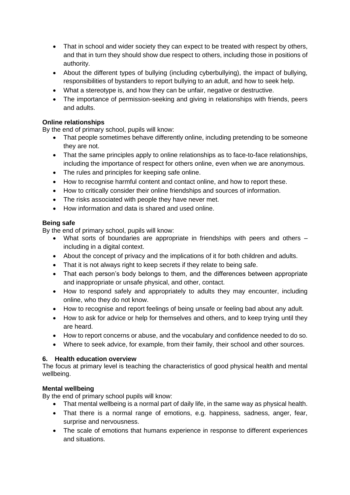- That in school and wider society they can expect to be treated with respect by others, and that in turn they should show due respect to others, including those in positions of authority.
- About the different types of bullying (including cyberbullying), the impact of bullying, responsibilities of bystanders to report bullying to an adult, and how to seek help.
- What a stereotype is, and how they can be unfair, negative or destructive.
- The importance of permission-seeking and giving in relationships with friends, peers and adults.

# **Online relationships**

By the end of primary school, pupils will know:

- That people sometimes behave differently online, including pretending to be someone they are not.
- That the same principles apply to online relationships as to face-to-face relationships, including the importance of respect for others online, even when we are anonymous.
- The rules and principles for keeping safe online.
- How to recognise harmful content and contact online, and how to report these.
- How to critically consider their online friendships and sources of information.
- The risks associated with people they have never met.
- How information and data is shared and used online.

# **Being safe**

By the end of primary school, pupils will know:

- What sorts of boundaries are appropriate in friendships with peers and others including in a digital context.
- About the concept of privacy and the implications of it for both children and adults.
- That it is not always right to keep secrets if they relate to being safe.
- That each person's body belongs to them, and the differences between appropriate and inappropriate or unsafe physical, and other, contact.
- How to respond safely and appropriately to adults they may encounter, including online, who they do not know.
- How to recognise and report feelings of being unsafe or feeling bad about any adult.
- How to ask for advice or help for themselves and others, and to keep trying until they are heard.
- How to report concerns or abuse, and the vocabulary and confidence needed to do so.
- Where to seek advice, for example, from their family, their school and other sources.

# **6. Health education overview**

The focus at primary level is teaching the characteristics of good physical health and mental wellbeing.

# **Mental wellbeing**

By the end of primary school pupils will know:

- That mental wellbeing is a normal part of daily life, in the same way as physical health.
- That there is a normal range of emotions, e.g. happiness, sadness, anger, fear, surprise and nervousness.
- The scale of emotions that humans experience in response to different experiences and situations.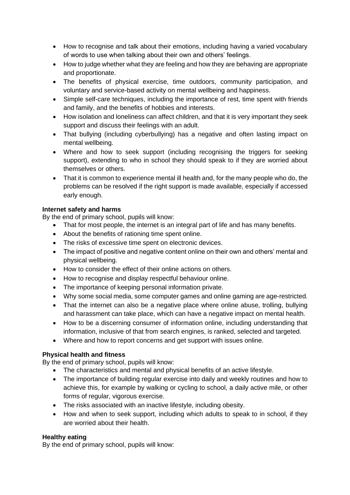- How to recognise and talk about their emotions, including having a varied vocabulary of words to use when talking about their own and others' feelings.
- How to judge whether what they are feeling and how they are behaving are appropriate and proportionate.
- The benefits of physical exercise, time outdoors, community participation, and voluntary and service-based activity on mental wellbeing and happiness.
- Simple self-care techniques, including the importance of rest, time spent with friends and family, and the benefits of hobbies and interests.
- How isolation and loneliness can affect children, and that it is very important they seek support and discuss their feelings with an adult.
- That bullying (including cyberbullying) has a negative and often lasting impact on mental wellbeing.
- Where and how to seek support (including recognising the triggers for seeking support), extending to who in school they should speak to if they are worried about themselves or others.
- That it is common to experience mental ill health and, for the many people who do, the problems can be resolved if the right support is made available, especially if accessed early enough.

# **Internet safety and harms**

By the end of primary school, pupils will know:

- That for most people, the internet is an integral part of life and has many benefits.
- About the benefits of rationing time spent online.
- The risks of excessive time spent on electronic devices.
- The impact of positive and negative content online on their own and others' mental and physical wellbeing.
- How to consider the effect of their online actions on others.
- How to recognise and display respectful behaviour online.
- The importance of keeping personal information private.
- Why some social media, some computer games and online gaming are age-restricted.
- That the internet can also be a negative place where online abuse, trolling, bullying and harassment can take place, which can have a negative impact on mental health.
- How to be a discerning consumer of information online, including understanding that information, inclusive of that from search engines, is ranked, selected and targeted.
- Where and how to report concerns and get support with issues online.

# **Physical health and fitness**

By the end of primary school, pupils will know:

- The characteristics and mental and physical benefits of an active lifestyle.
- The importance of building regular exercise into daily and weekly routines and how to achieve this, for example by walking or cycling to school, a daily active mile, or other forms of regular, vigorous exercise.
- The risks associated with an inactive lifestyle, including obesity.
- How and when to seek support, including which adults to speak to in school, if they are worried about their health.

# **Healthy eating**

By the end of primary school, pupils will know: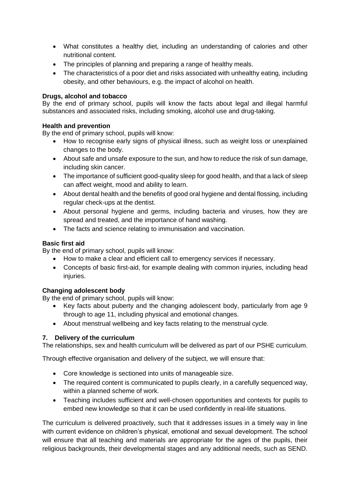- What constitutes a healthy diet, including an understanding of calories and other nutritional content.
- The principles of planning and preparing a range of healthy meals.
- The characteristics of a poor diet and risks associated with unhealthy eating, including obesity, and other behaviours, e.g. the impact of alcohol on health.

# **Drugs, alcohol and tobacco**

By the end of primary school, pupils will know the facts about legal and illegal harmful substances and associated risks, including smoking, alcohol use and drug-taking.

# **Health and prevention**

By the end of primary school, pupils will know:

- How to recognise early signs of physical illness, such as weight loss or unexplained changes to the body.
- About safe and unsafe exposure to the sun, and how to reduce the risk of sun damage, including skin cancer.
- The importance of sufficient good-quality sleep for good health, and that a lack of sleep can affect weight, mood and ability to learn.
- About dental health and the benefits of good oral hygiene and dental flossing, including regular check-ups at the dentist.
- About personal hygiene and germs, including bacteria and viruses, how they are spread and treated, and the importance of hand washing.
- The facts and science relating to immunisation and vaccination.

# **Basic first aid**

By the end of primary school, pupils will know:

- How to make a clear and efficient call to emergency services if necessary.
- Concepts of basic first-aid, for example dealing with common injuries, including head injuries.

# **Changing adolescent body**

By the end of primary school, pupils will know:

- Key facts about puberty and the changing adolescent body, particularly from age 9 through to age 11, including physical and emotional changes.
- About menstrual wellbeing and key facts relating to the menstrual cycle.

# **7. Delivery of the curriculum**

The relationships, sex and health curriculum will be delivered as part of our PSHE curriculum.

Through effective organisation and delivery of the subject, we will ensure that:

- Core knowledge is sectioned into units of manageable size.
- The required content is communicated to pupils clearly, in a carefully sequenced way, within a planned scheme of work.
- Teaching includes sufficient and well-chosen opportunities and contexts for pupils to embed new knowledge so that it can be used confidently in real-life situations.

The curriculum is delivered proactively, such that it addresses issues in a timely way in line with current evidence on children's physical, emotional and sexual development. The school will ensure that all teaching and materials are appropriate for the ages of the pupils, their religious backgrounds, their developmental stages and any additional needs, such as SEND.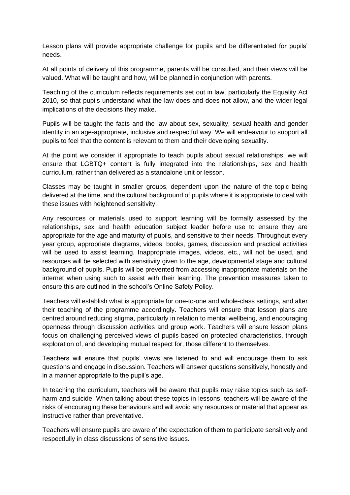Lesson plans will provide appropriate challenge for pupils and be differentiated for pupils' needs.

At all points of delivery of this programme, parents will be consulted, and their views will be valued. What will be taught and how, will be planned in conjunction with parents.

Teaching of the curriculum reflects requirements set out in law, particularly the Equality Act 2010, so that pupils understand what the law does and does not allow, and the wider legal implications of the decisions they make.

Pupils will be taught the facts and the law about sex, sexuality, sexual health and gender identity in an age-appropriate, inclusive and respectful way. We will endeavour to support all pupils to feel that the content is relevant to them and their developing sexuality.

At the point we consider it appropriate to teach pupils about sexual relationships, we will ensure that LGBTQ+ content is fully integrated into the relationships, sex and health curriculum, rather than delivered as a standalone unit or lesson.

Classes may be taught in smaller groups, dependent upon the nature of the topic being delivered at the time, and the cultural background of pupils where it is appropriate to deal with these issues with heightened sensitivity.

Any resources or materials used to support learning will be formally assessed by the relationships, sex and health education subject leader before use to ensure they are appropriate for the age and maturity of pupils, and sensitive to their needs. Throughout every year group, appropriate diagrams, videos, books, games, discussion and practical activities will be used to assist learning. Inappropriate images, videos, etc., will not be used, and resources will be selected with sensitivity given to the age, developmental stage and cultural background of pupils. Pupils will be prevented from accessing inappropriate materials on the internet when using such to assist with their learning. The prevention measures taken to ensure this are outlined in the school's Online Safety Policy.

Teachers will establish what is appropriate for one-to-one and whole-class settings, and alter their teaching of the programme accordingly. Teachers will ensure that lesson plans are centred around reducing stigma, particularly in relation to mental wellbeing, and encouraging openness through discussion activities and group work. Teachers will ensure lesson plans focus on challenging perceived views of pupils based on protected characteristics, through exploration of, and developing mutual respect for, those different to themselves.

Teachers will ensure that pupils' views are listened to and will encourage them to ask questions and engage in discussion. Teachers will answer questions sensitively, honestly and in a manner appropriate to the pupil's age.

In teaching the curriculum, teachers will be aware that pupils may raise topics such as selfharm and suicide. When talking about these topics in lessons, teachers will be aware of the risks of encouraging these behaviours and will avoid any resources or material that appear as instructive rather than preventative.

Teachers will ensure pupils are aware of the expectation of them to participate sensitively and respectfully in class discussions of sensitive issues.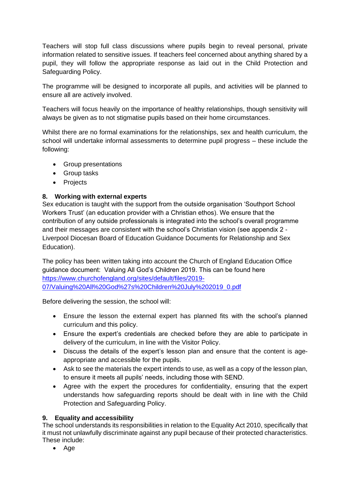Teachers will stop full class discussions where pupils begin to reveal personal, private information related to sensitive issues. If teachers feel concerned about anything shared by a pupil, they will follow the appropriate response as laid out in the Child Protection and Safeguarding Policy.

The programme will be designed to incorporate all pupils, and activities will be planned to ensure all are actively involved.

Teachers will focus heavily on the importance of healthy relationships, though sensitivity will always be given as to not stigmatise pupils based on their home circumstances.

Whilst there are no formal examinations for the relationships, sex and health curriculum, the school will undertake informal assessments to determine pupil progress – these include the following:

- Group presentations
- Group tasks
- Projects

# **8. Working with external experts**

Sex education is taught with the support from the outside organisation 'Southport School Workers Trust' (an education provider with a Christian ethos). We ensure that the contribution of any outside professionals is integrated into the school's overall programme and their messages are consistent with the school's Christian vision (see appendix 2 - Liverpool Diocesan Board of Education Guidance Documents for Relationship and Sex Education).

The policy has been written taking into account the Church of England Education Office guidance document: Valuing All God's Children 2019. This can be found here [https://www.churchofengland.org/sites/default/files/2019-](https://www.churchofengland.org/sites/default/files/2019-07/Valuing%20All%20God%27s%20Children%20July%202019_0.pdf) [07/Valuing%20All%20God%27s%20Children%20July%202019\\_0.pdf](https://www.churchofengland.org/sites/default/files/2019-07/Valuing%20All%20God%27s%20Children%20July%202019_0.pdf)

Before delivering the session, the school will:

- Ensure the lesson the external expert has planned fits with the school's planned curriculum and this policy.
- Ensure the expert's credentials are checked before they are able to participate in delivery of the curriculum, in line with the Visitor Policy.
- Discuss the details of the expert's lesson plan and ensure that the content is ageappropriate and accessible for the pupils.
- Ask to see the materials the expert intends to use, as well as a copy of the lesson plan, to ensure it meets all pupils' needs, including those with SEND.
- Agree with the expert the procedures for confidentiality, ensuring that the expert understands how safeguarding reports should be dealt with in line with the Child Protection and Safeguarding Policy.

# **9. Equality and accessibility**

The school understands its responsibilities in relation to the Equality Act 2010, specifically that it must not unlawfully discriminate against any pupil because of their protected characteristics. These include:

• Age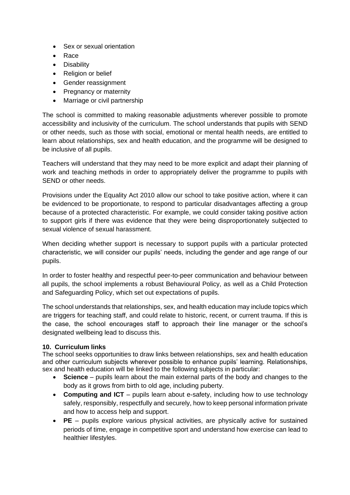- Sex or sexual orientation
- Race
- Disability
- Religion or belief
- Gender reassignment
- Pregnancy or maternity
- Marriage or civil partnership

The school is committed to making reasonable adjustments wherever possible to promote accessibility and inclusivity of the curriculum. The school understands that pupils with SEND or other needs, such as those with social, emotional or mental health needs, are entitled to learn about relationships, sex and health education, and the programme will be designed to be inclusive of all pupils.

Teachers will understand that they may need to be more explicit and adapt their planning of work and teaching methods in order to appropriately deliver the programme to pupils with SEND or other needs.

Provisions under the Equality Act 2010 allow our school to take positive action, where it can be evidenced to be proportionate, to respond to particular disadvantages affecting a group because of a protected characteristic. For example, we could consider taking positive action to support girls if there was evidence that they were being disproportionately subjected to sexual violence of sexual harassment.

When deciding whether support is necessary to support pupils with a particular protected characteristic, we will consider our pupils' needs, including the gender and age range of our pupils.

In order to foster healthy and respectful peer-to-peer communication and behaviour between all pupils, the school implements a robust Behavioural Policy, as well as a Child Protection and Safeguarding Policy, which set out expectations of pupils.

The school understands that relationships, sex, and health education may include topics which are triggers for teaching staff, and could relate to historic, recent, or current trauma. If this is the case, the school encourages staff to approach their line manager or the school's designated wellbeing lead to discuss this.

# **10. Curriculum links**

The school seeks opportunities to draw links between relationships, sex and health education and other curriculum subjects wherever possible to enhance pupils' learning. Relationships, sex and health education will be linked to the following subjects in particular:

- **Science** pupils learn about the main external parts of the body and changes to the body as it grows from birth to old age, including puberty.
- **Computing and ICT** pupils learn about e-safety, including how to use technology safely, responsibly, respectfully and securely, how to keep personal information private and how to access help and support.
- **PE** pupils explore various physical activities, are physically active for sustained periods of time, engage in competitive sport and understand how exercise can lead to healthier lifestyles.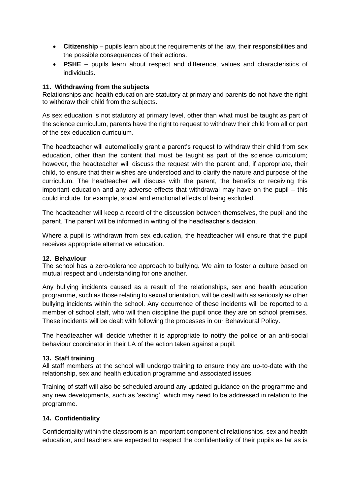- **Citizenship** pupils learn about the requirements of the law, their responsibilities and the possible consequences of their actions.
- **PSHE** pupils learn about respect and difference, values and characteristics of individuals.

# **11. Withdrawing from the subjects**

Relationships and health education are statutory at primary and parents do not have the right to withdraw their child from the subjects.

As sex education is not statutory at primary level, other than what must be taught as part of the science curriculum, parents have the right to request to withdraw their child from all or part of the sex education curriculum.

The headteacher will automatically grant a parent's request to withdraw their child from sex education, other than the content that must be taught as part of the science curriculum; however, the headteacher will discuss the request with the parent and, if appropriate, their child, to ensure that their wishes are understood and to clarify the nature and purpose of the curriculum. The headteacher will discuss with the parent, the benefits or receiving this important education and any adverse effects that withdrawal may have on the pupil – this could include, for example, social and emotional effects of being excluded.

The headteacher will keep a record of the discussion between themselves, the pupil and the parent. The parent will be informed in writing of the headteacher's decision.

Where a pupil is withdrawn from sex education, the headteacher will ensure that the pupil receives appropriate alternative education.

# **12. Behaviour**

The school has a zero-tolerance approach to bullying. We aim to foster a culture based on mutual respect and understanding for one another.

Any bullying incidents caused as a result of the relationships, sex and health education programme, such as those relating to sexual orientation, will be dealt with as seriously as other bullying incidents within the school. Any occurrence of these incidents will be reported to a member of school staff, who will then discipline the pupil once they are on school premises. These incidents will be dealt with following the processes in our Behavioural Policy.

The headteacher will decide whether it is appropriate to notify the police or an anti-social behaviour coordinator in their LA of the action taken against a pupil.

# **13. Staff training**

All staff members at the school will undergo training to ensure they are up-to-date with the relationship, sex and health education programme and associated issues.

Training of staff will also be scheduled around any updated guidance on the programme and any new developments, such as 'sexting', which may need to be addressed in relation to the programme.

# **14. Confidentiality**

Confidentiality within the classroom is an important component of relationships, sex and health education, and teachers are expected to respect the confidentiality of their pupils as far as is